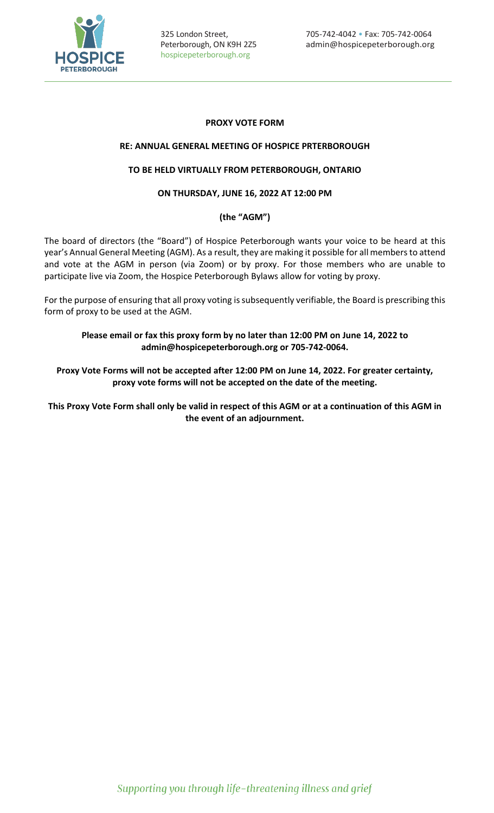

# **PROXY VOTE FORM**

### **RE: ANNUAL GENERAL MEETING OF HOSPICE PRTERBOROUGH**

### **TO BE HELD VIRTUALLY FROM PETERBOROUGH, ONTARIO**

## **ON THURSDAY, JUNE 16, 2022 AT 12:00 PM**

# **(the "AGM")**

The board of directors (the "Board") of Hospice Peterborough wants your voice to be heard at this year's Annual General Meeting (AGM). As a result, they are making it possible for all members to attend and vote at the AGM in person (via Zoom) or by proxy. For those members who are unable to participate live via Zoom, the Hospice Peterborough Bylaws allow for voting by proxy.

For the purpose of ensuring that all proxy voting is subsequently verifiable, the Board is prescribing this form of proxy to be used at the AGM.

**Please email or fax this proxy form by no later than 12:00 PM on June 14, 2022 to admin@hospicepeterborough.org or 705-742-0064.**

**Proxy Vote Forms will not be accepted after 12:00 PM on June 14, 2022. For greater certainty, proxy vote forms will not be accepted on the date of the meeting.**

**This Proxy Vote Form shall only be valid in respect of this AGM or at a continuation of this AGM in the event of an adjournment.**